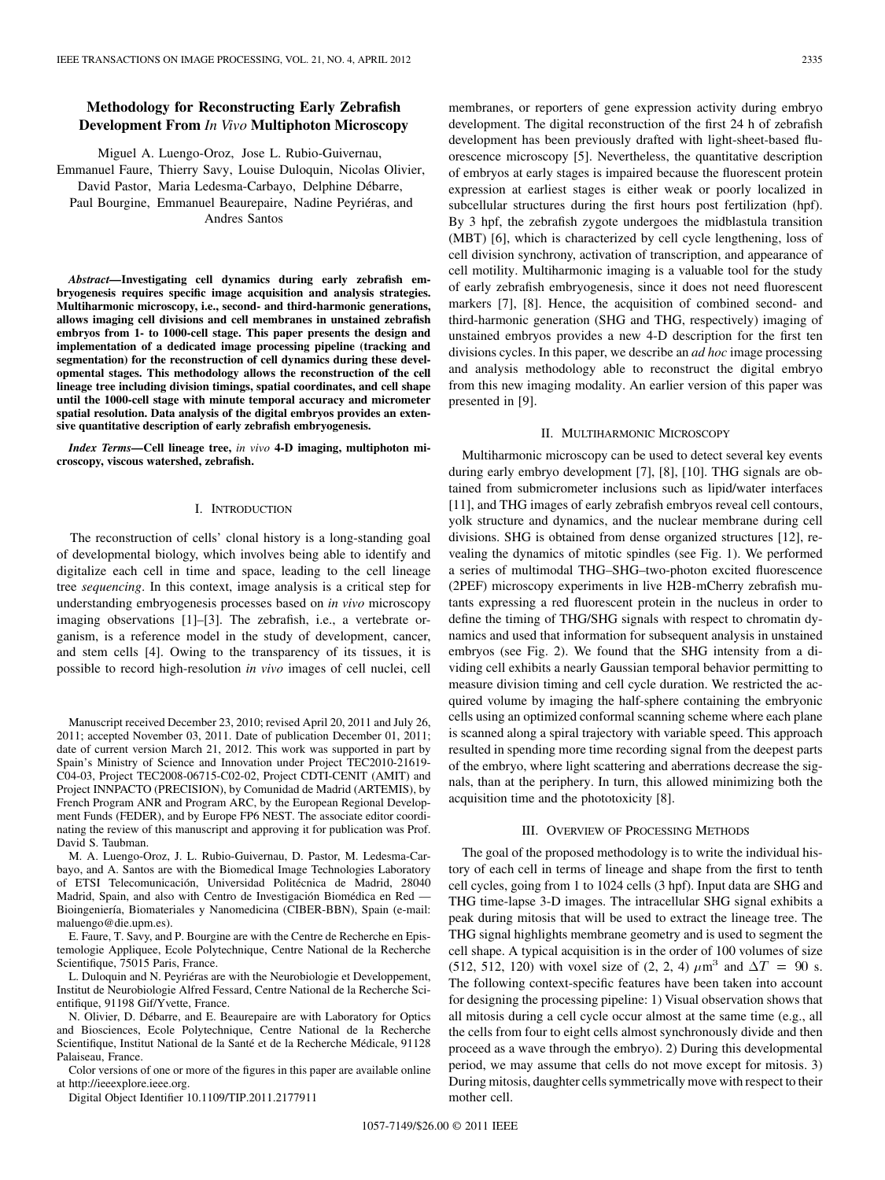# **Methodology for Reconstructing Early Zebrafish Development From** *In Vivo* **Multiphoton Microscopy**

Miguel A. Luengo-Oroz, Jose L. Rubio-Guivernau, Emmanuel Faure, Thierry Savy, Louise Duloquin, Nicolas Olivier, David Pastor, Maria Ledesma-Carbayo, Delphine Débarre, Paul Bourgine, Emmanuel Beaurepaire, Nadine Peyriéras, and Andres Santos

*Abstract—***Investigating cell dynamics during early zebrafish embryogenesis requires specific image acquisition and analysis strategies. Multiharmonic microscopy, i.e., second- and third-harmonic generations, allows imaging cell divisions and cell membranes in unstained zebrafish embryos from 1- to 1000-cell stage. This paper presents the design and implementation of a dedicated image processing pipeline (tracking and segmentation) for the reconstruction of cell dynamics during these developmental stages. This methodology allows the reconstruction of the cell lineage tree including division timings, spatial coordinates, and cell shape until the 1000-cell stage with minute temporal accuracy and micrometer spatial resolution. Data analysis of the digital embryos provides an extensive quantitative description of early zebrafish embryogenesis.**

*Index Terms—***Cell lineage tree,** *in vivo* **4-D imaging, multiphoton microscopy, viscous watershed, zebrafish.**

#### I. INTRODUCTION

The reconstruction of cells' clonal history is a long-standing goal of developmental biology, which involves being able to identify and digitalize each cell in time and space, leading to the cell lineage tree *sequencing*. In this context, image analysis is a critical step for understanding embryogenesis processes based on *in vivo* microscopy imaging observations [1]–[3]. The zebrafish, i.e., a vertebrate organism, is a reference model in the study of development, cancer, and stem cells [4]. Owing to the transparency of its tissues, it is possible to record high-resolution *in vivo* images of cell nuclei, cell

Manuscript received December 23, 2010; revised April 20, 2011 and July 26, 2011; accepted November 03, 2011. Date of publication December 01, 2011; date of current version March 21, 2012. This work was supported in part by Spain's Ministry of Science and Innovation under Project TEC2010-21619- C04-03, Project TEC2008-06715-C02-02, Project CDTI-CENIT (AMIT) and Project INNPACTO (PRECISION), by Comunidad de Madrid (ARTEMIS), by French Program ANR and Program ARC, by the European Regional Development Funds (FEDER), and by Europe FP6 NEST. The associate editor coordinating the review of this manuscript and approving it for publication was Prof. David S. Taubman.

M. A. Luengo-Oroz, J. L. Rubio-Guivernau, D. Pastor, M. Ledesma-Carbayo, and A. Santos are with the Biomedical Image Technologies Laboratory of ETSI Telecomunicación, Universidad Politécnica de Madrid, 28040 Madrid, Spain, and also with Centro de Investigación Biomédica en Red -Bioingeniería, Biomateriales y Nanomedicina (CIBER-BBN), Spain (e-mail: maluengo@die.upm.es).

E. Faure, T. Savy, and P. Bourgine are with the Centre de Recherche en Epistemologie Appliquee, Ecole Polytechnique, Centre National de la Recherche Scientifique, 75015 Paris, France.

L. Duloquin and N. Peyriéras are with the Neurobiologie et Developpement, Institut de Neurobiologie Alfred Fessard, Centre National de la Recherche Scientifique, 91198 Gif/Yvette, France.

N. Olivier, D. Débarre, and E. Beaurepaire are with Laboratory for Optics and Biosciences, Ecole Polytechnique, Centre National de la Recherche Scientifique, Institut National de la Santé et de la Recherche Médicale, 91128 Palaiseau, France.

Color versions of one or more of the figures in this paper are available online at http://ieeexplore.ieee.org.

Digital Object Identifier 10.1109/TIP.2011.2177911

membranes, or reporters of gene expression activity during embryo development. The digital reconstruction of the first 24 h of zebrafish development has been previously drafted with light-sheet-based fluorescence microscopy [5]. Nevertheless, the quantitative description of embryos at early stages is impaired because the fluorescent protein expression at earliest stages is either weak or poorly localized in subcellular structures during the first hours post fertilization (hpf). By 3 hpf, the zebrafish zygote undergoes the midblastula transition (MBT) [6], which is characterized by cell cycle lengthening, loss of cell division synchrony, activation of transcription, and appearance of cell motility. Multiharmonic imaging is a valuable tool for the study of early zebrafish embryogenesis, since it does not need fluorescent markers [7], [8]. Hence, the acquisition of combined second- and third-harmonic generation (SHG and THG, respectively) imaging of unstained embryos provides a new 4-D description for the first ten divisions cycles. In this paper, we describe an *ad hoc* image processing and analysis methodology able to reconstruct the digital embryo from this new imaging modality. An earlier version of this paper was presented in [9].

#### II. MULTIHARMONIC MICROSCOPY

Multiharmonic microscopy can be used to detect several key events during early embryo development [7], [8], [10]. THG signals are obtained from submicrometer inclusions such as lipid/water interfaces [11], and THG images of early zebrafish embryos reveal cell contours, yolk structure and dynamics, and the nuclear membrane during cell divisions. SHG is obtained from dense organized structures [12], revealing the dynamics of mitotic spindles (see Fig. 1). We performed a series of multimodal THG–SHG–two-photon excited fluorescence (2PEF) microscopy experiments in live H2B-mCherry zebrafish mutants expressing a red fluorescent protein in the nucleus in order to define the timing of THG/SHG signals with respect to chromatin dynamics and used that information for subsequent analysis in unstained embryos (see Fig. 2). We found that the SHG intensity from a dividing cell exhibits a nearly Gaussian temporal behavior permitting to measure division timing and cell cycle duration. We restricted the acquired volume by imaging the half-sphere containing the embryonic cells using an optimized conformal scanning scheme where each plane is scanned along a spiral trajectory with variable speed. This approach resulted in spending more time recording signal from the deepest parts of the embryo, where light scattering and aberrations decrease the signals, than at the periphery. In turn, this allowed minimizing both the acquisition time and the phototoxicity [8].

#### III. OVERVIEW OF PROCESSING METHODS

The goal of the proposed methodology is to write the individual history of each cell in terms of lineage and shape from the first to tenth cell cycles, going from 1 to 1024 cells (3 hpf). Input data are SHG and THG time-lapse 3-D images. The intracellular SHG signal exhibits a peak during mitosis that will be used to extract the lineage tree. The THG signal highlights membrane geometry and is used to segment the cell shape. A typical acquisition is in the order of 100 volumes of size (512, 512, 120) with voxel size of (2, 2, 4)  $\mu$ m<sup>3</sup> and  $\Delta T = 90$  s. The following context-specific features have been taken into account for designing the processing pipeline: 1) Visual observation shows that all mitosis during a cell cycle occur almost at the same time (e.g., all the cells from four to eight cells almost synchronously divide and then proceed as a wave through the embryo). 2) During this developmental period, we may assume that cells do not move except for mitosis. 3) During mitosis, daughter cells symmetrically move with respect to their mother cell.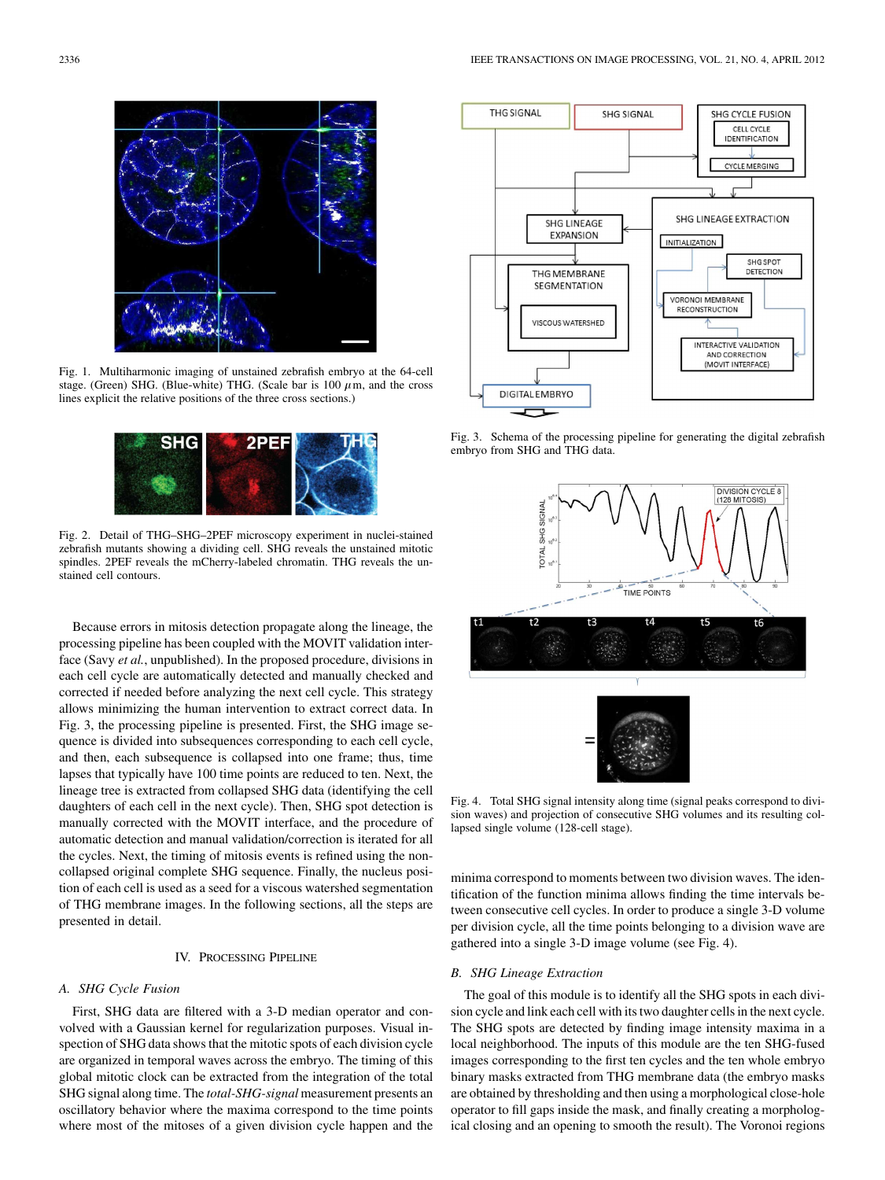

Fig. 1. Multiharmonic imaging of unstained zebrafish embryo at the 64-cell stage. (Green) SHG. (Blue-white) THG. (Scale bar is  $100 \ \mu$ m, and the cross lines explicit the relative positions of the three cross sections.)



Fig. 2. Detail of THG–SHG–2PEF microscopy experiment in nuclei-stained zebrafish mutants showing a dividing cell. SHG reveals the unstained mitotic spindles. 2PEF reveals the mCherry-labeled chromatin. THG reveals the unstained cell contours.

Because errors in mitosis detection propagate along the lineage, the processing pipeline has been coupled with the MOVIT validation interface (Savy *et al.*, unpublished). In the proposed procedure, divisions in each cell cycle are automatically detected and manually checked and corrected if needed before analyzing the next cell cycle. This strategy allows minimizing the human intervention to extract correct data. In Fig. 3, the processing pipeline is presented. First, the SHG image sequence is divided into subsequences corresponding to each cell cycle, and then, each subsequence is collapsed into one frame; thus, time lapses that typically have 100 time points are reduced to ten. Next, the lineage tree is extracted from collapsed SHG data (identifying the cell daughters of each cell in the next cycle). Then, SHG spot detection is manually corrected with the MOVIT interface, and the procedure of automatic detection and manual validation/correction is iterated for all the cycles. Next, the timing of mitosis events is refined using the noncollapsed original complete SHG sequence. Finally, the nucleus position of each cell is used as a seed for a viscous watershed segmentation of THG membrane images. In the following sections, all the steps are presented in detail.

## IV. PROCESSING PIPELINE

### *A. SHG Cycle Fusion*

First, SHG data are filtered with a 3-D median operator and convolved with a Gaussian kernel for regularization purposes. Visual inspection of SHG data shows that the mitotic spots of each division cycle are organized in temporal waves across the embryo. The timing of this global mitotic clock can be extracted from the integration of the total SHG signal along time. The *total-SHG-signal* measurement presents an oscillatory behavior where the maxima correspond to the time points where most of the mitoses of a given division cycle happen and the



Fig. 3. Schema of the processing pipeline for generating the digital zebrafish embryo from SHG and THG data.



Fig. 4. Total SHG signal intensity along time (signal peaks correspond to division waves) and projection of consecutive SHG volumes and its resulting collapsed single volume (128-cell stage).

minima correspond to moments between two division waves. The identification of the function minima allows finding the time intervals between consecutive cell cycles. In order to produce a single 3-D volume per division cycle, all the time points belonging to a division wave are gathered into a single 3-D image volume (see Fig. 4).

### *B. SHG Lineage Extraction*

The goal of this module is to identify all the SHG spots in each division cycle and link each cell with its two daughter cells in the next cycle. The SHG spots are detected by finding image intensity maxima in a local neighborhood. The inputs of this module are the ten SHG-fused images corresponding to the first ten cycles and the ten whole embryo binary masks extracted from THG membrane data (the embryo masks are obtained by thresholding and then using a morphological close-hole operator to fill gaps inside the mask, and finally creating a morphological closing and an opening to smooth the result). The Voronoi regions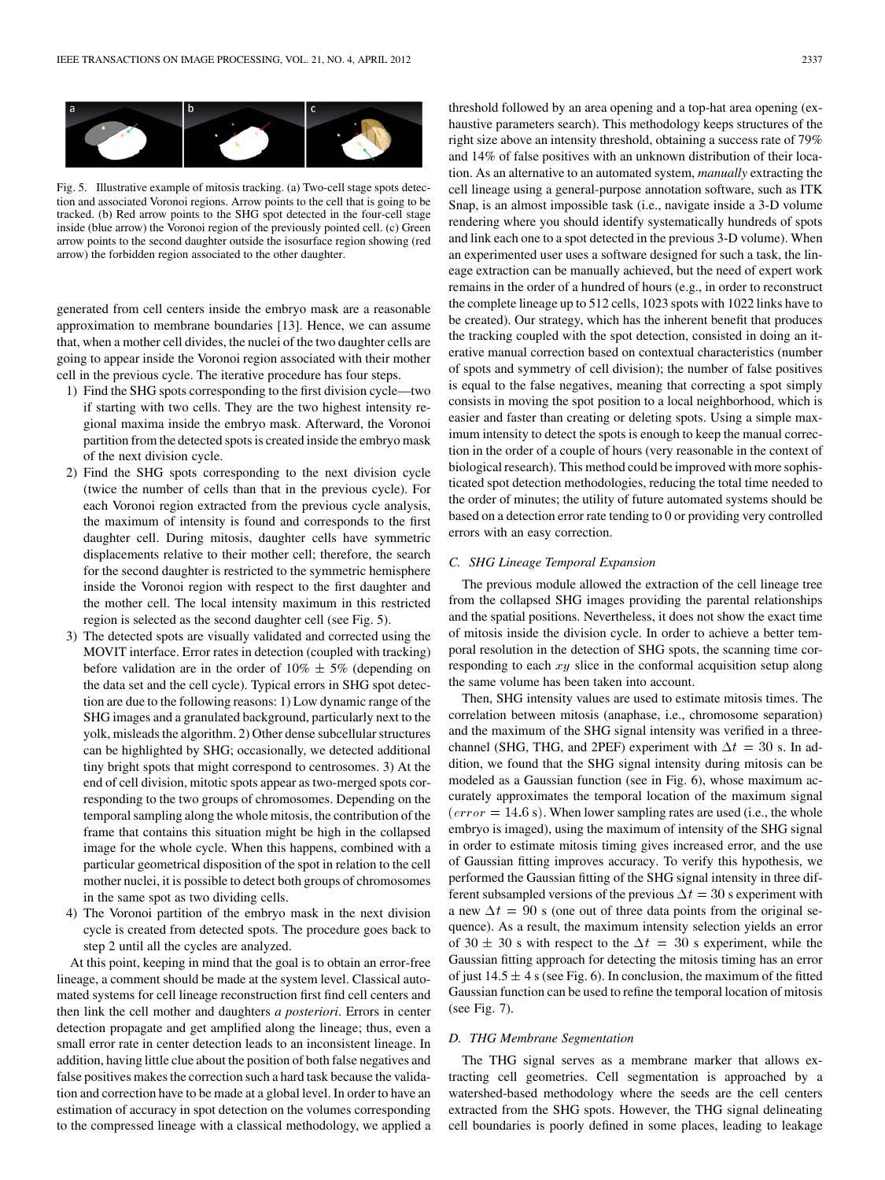

Fig. 5. Illustrative example of mitosis tracking. (a) Two-cell stage spots detection and associated Voronoi regions. Arrow points to the cell that is going to be tracked. (b) Red arrow points to the SHG spot detected in the four-cell stage inside (blue arrow) the Voronoi region of the previously pointed cell. (c) Green arrow points to the second daughter outside the isosurface region showing (red arrow) the forbidden region associated to the other daughter.

generated from cell centers inside the embryo mask are a reasonable approximation to membrane boundaries [13]. Hence, we can assume that, when a mother cell divides, the nuclei of the two daughter cells are going to appear inside the Voronoi region associated with their mother cell in the previous cycle. The iterative procedure has four steps.

- 1) Find the SHG spots corresponding to the first division cycle—two if starting with two cells. They are the two highest intensity regional maxima inside the embryo mask. Afterward, the Voronoi partition from the detected spots is created inside the embryo mask of the next division cycle.
- 2) Find the SHG spots corresponding to the next division cycle (twice the number of cells than that in the previous cycle). For each Voronoi region extracted from the previous cycle analysis, the maximum of intensity is found and corresponds to the first daughter cell. During mitosis, daughter cells have symmetric displacements relative to their mother cell; therefore, the search for the second daughter is restricted to the symmetric hemisphere inside the Voronoi region with respect to the first daughter and the mother cell. The local intensity maximum in this restricted region is selected as the second daughter cell (see Fig. 5).
- 3) The detected spots are visually validated and corrected using the MOVIT interface. Error rates in detection (coupled with tracking) before validation are in the order of  $10\% \pm 5\%$  (depending on the data set and the cell cycle). Typical errors in SHG spot detection are due to the following reasons: 1) Low dynamic range of the SHG images and a granulated background, particularly next to the yolk, misleads the algorithm. 2) Other dense subcellular structures can be highlighted by SHG; occasionally, we detected additional tiny bright spots that might correspond to centrosomes. 3) At the end of cell division, mitotic spots appear as two-merged spots corresponding to the two groups of chromosomes. Depending on the temporal sampling along the whole mitosis, the contribution of the frame that contains this situation might be high in the collapsed image for the whole cycle. When this happens, combined with a particular geometrical disposition of the spot in relation to the cell mother nuclei, it is possible to detect both groups of chromosomes in the same spot as two dividing cells.
- 4) The Voronoi partition of the embryo mask in the next division cycle is created from detected spots. The procedure goes back to step 2 until all the cycles are analyzed.

At this point, keeping in mind that the goal is to obtain an error-free lineage, a comment should be made at the system level. Classical automated systems for cell lineage reconstruction first find cell centers and then link the cell mother and daughters *a posteriori*. Errors in center detection propagate and get amplified along the lineage; thus, even a small error rate in center detection leads to an inconsistent lineage. In addition, having little clue about the position of both false negatives and false positives makes the correction such a hard task because the validation and correction have to be made at a global level. In order to have an estimation of accuracy in spot detection on the volumes corresponding to the compressed lineage with a classical methodology, we applied a

threshold followed by an area opening and a top-hat area opening (exhaustive parameters search). This methodology keeps structures of the right size above an intensity threshold, obtaining a success rate of 79% and 14% of false positives with an unknown distribution of their location. As an alternative to an automated system, *manually* extracting the cell lineage using a general-purpose annotation software, such as ITK Snap, is an almost impossible task (i.e., navigate inside a 3-D volume rendering where you should identify systematically hundreds of spots and link each one to a spot detected in the previous 3-D volume). When an experimented user uses a software designed for such a task, the lineage extraction can be manually achieved, but the need of expert work remains in the order of a hundred of hours (e.g., in order to reconstruct the complete lineage up to 512 cells, 1023 spots with 1022 links have to be created). Our strategy, which has the inherent benefit that produces the tracking coupled with the spot detection, consisted in doing an iterative manual correction based on contextual characteristics (number of spots and symmetry of cell division); the number of false positives is equal to the false negatives, meaning that correcting a spot simply consists in moving the spot position to a local neighborhood, which is easier and faster than creating or deleting spots. Using a simple maximum intensity to detect the spots is enough to keep the manual correction in the order of a couple of hours (very reasonable in the context of biological research). This method could be improved with more sophisticated spot detection methodologies, reducing the total time needed to the order of minutes; the utility of future automated systems should be based on a detection error rate tending to 0 or providing very controlled errors with an easy correction.

### *C. SHG Lineage Temporal Expansion*

The previous module allowed the extraction of the cell lineage tree from the collapsed SHG images providing the parental relationships and the spatial positions. Nevertheless, it does not show the exact time of mitosis inside the division cycle. In order to achieve a better temporal resolution in the detection of SHG spots, the scanning time corresponding to each  $xy$  slice in the conformal acquisition setup along the same volume has been taken into account.

Then, SHG intensity values are used to estimate mitosis times. The correlation between mitosis (anaphase, i.e., chromosome separation) and the maximum of the SHG signal intensity was verified in a threechannel (SHG, THG, and 2PEF) experiment with  $\Delta t = 30$  s. In addition, we found that the SHG signal intensity during mitosis can be modeled as a Gaussian function (see in Fig. 6), whose maximum accurately approximates the temporal location of the maximum signal  $(error = 14.6 \text{ s})$ . When lower sampling rates are used (i.e., the whole embryo is imaged), using the maximum of intensity of the SHG signal in order to estimate mitosis timing gives increased error, and the use of Gaussian fitting improves accuracy. To verify this hypothesis, we performed the Gaussian fitting of the SHG signal intensity in three different subsampled versions of the previous  $\Delta t = 30$  s experiment with a new  $\Delta t = 90$  s (one out of three data points from the original sequence). As a result, the maximum intensity selection yields an error of 30  $\pm$  30 s with respect to the  $\Delta t = 30$  s experiment, while the Gaussian fitting approach for detecting the mitosis timing has an error of just  $14.5 \pm 4$  s (see Fig. 6). In conclusion, the maximum of the fitted Gaussian function can be used to refine the temporal location of mitosis (see Fig. 7).

### *D. THG Membrane Segmentation*

The THG signal serves as a membrane marker that allows extracting cell geometries. Cell segmentation is approached by a watershed-based methodology where the seeds are the cell centers extracted from the SHG spots. However, the THG signal delineating cell boundaries is poorly defined in some places, leading to leakage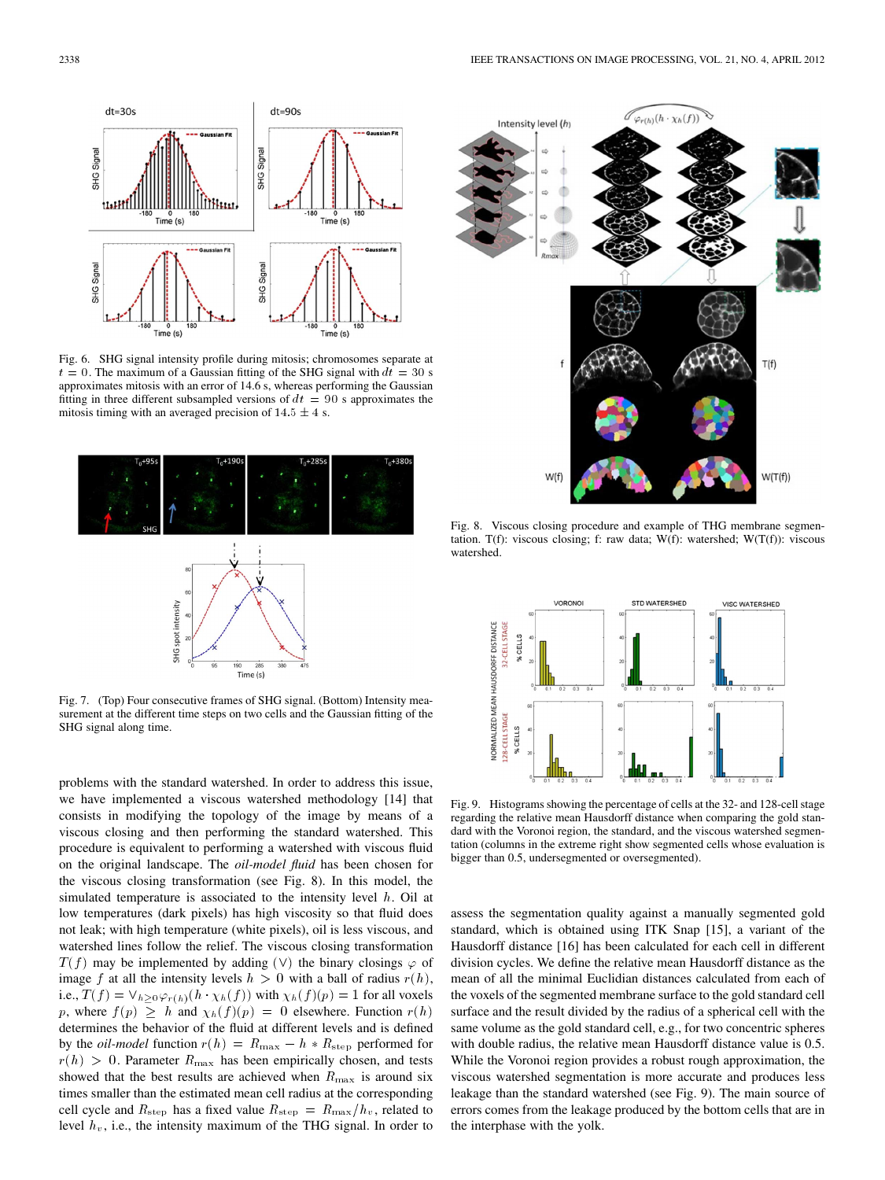

Fig. 6. SHG signal intensity profile during mitosis; chromosomes separate at  $t = 0$ . The maximum of a Gaussian fitting of the SHG signal with  $dt = 30$  s approximates mitosis with an error of  $14.6$  s, whereas performing the Gaussian fitting in three different subsampled versions of  $dt = 90$  s approximates the mitosis timing with an averaged precision of  $14.5 \pm 4$  s.



Fig. 7. (Top) Four consecutive frames of SHG signal. (Bottom) Intensity measurement at the different time steps on two cells and the Gaussian fitting of the SHG signal along time.

problems with the standard watershed. In order to address this issue, we have implemented a viscous watershed methodology [14] that consists in modifying the topology of the image by means of a viscous closing and then performing the standard watershed. This procedure is equivalent to performing a watershed with viscous fluid on the original landscape. The *oil-model fluid* has been chosen for the viscous closing transformation (see Fig. 8). In this model, the simulated temperature is associated to the intensity level  $h$ . Oil at low temperatures (dark pixels) has high viscosity so that fluid does not leak; with high temperature (white pixels), oil is less viscous, and watershed lines follow the relief. The viscous closing transformation  $T(f)$  may be implemented by adding (V) the binary closings  $\varphi$  of image f at all the intensity levels  $h > 0$  with a ball of radius  $r(h)$ , i.e.,  $T(f) = \vee_{h \geq 0} \varphi_{r(h)}(h \cdot \chi_h(f))$  with  $\chi_h(f)(p) = 1$  for all voxels p, where  $f(p) \geq h$  and  $\chi_h(f)(p) = 0$  elsewhere. Function  $r(h)$ determines the behavior of the fluid at different levels and is defined by the *oil-model* function  $r(h) = R_{\text{max}} - h * R_{\text{step}}$  performed for  $r(h) > 0$ . Parameter  $R_{\text{max}}$  has been empirically chosen, and tests showed that the best results are achieved when  $R_{\text{max}}$  is around six times smaller than the estimated mean cell radius at the corresponding cell cycle and  $R_{\text{step}}$  has a fixed value  $R_{\text{step}} = R_{\text{max}}/h_v$ , related to level  $h<sub>v</sub>$ , i.e., the intensity maximum of the THG signal. In order to



Fig. 8. Viscous closing procedure and example of THG membrane segmentation. T(f): viscous closing; f: raw data;  $W(f)$ : watershed;  $W(T(f))$ : viscous watershed.



Fig. 9. Histograms showing the percentage of cells at the 32- and 128-cell stage regarding the relative mean Hausdorff distance when comparing the gold standard with the Voronoi region, the standard, and the viscous watershed segmentation (columns in the extreme right show segmented cells whose evaluation is bigger than 0.5, undersegmented or oversegmented).

assess the segmentation quality against a manually segmented gold standard, which is obtained using ITK Snap [15], a variant of the Hausdorff distance [16] has been calculated for each cell in different division cycles. We define the relative mean Hausdorff distance as the mean of all the minimal Euclidian distances calculated from each of the voxels of the segmented membrane surface to the gold standard cell surface and the result divided by the radius of a spherical cell with the same volume as the gold standard cell, e.g., for two concentric spheres with double radius, the relative mean Hausdorff distance value is 0.5. While the Voronoi region provides a robust rough approximation, the viscous watershed segmentation is more accurate and produces less leakage than the standard watershed (see Fig. 9). The main source of errors comes from the leakage produced by the bottom cells that are in the interphase with the yolk.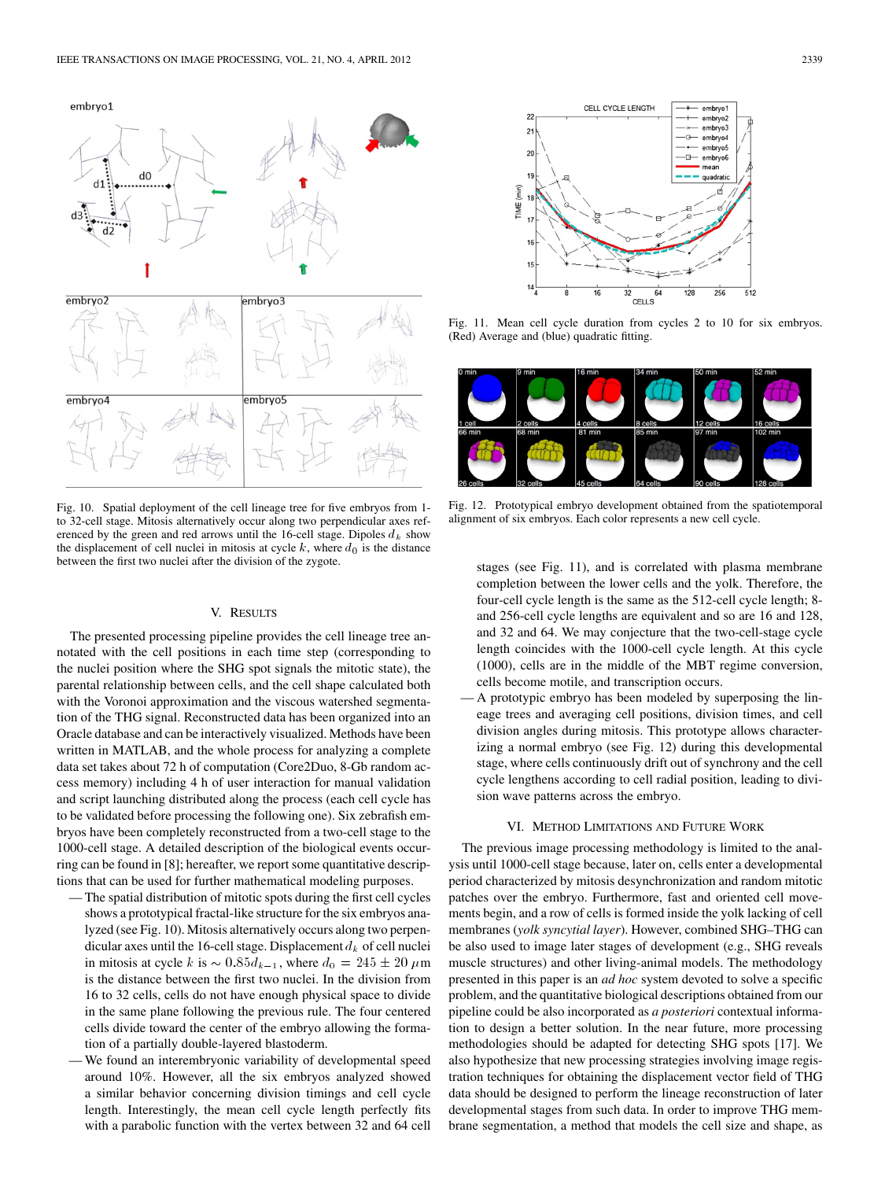

Fig. 10. Spatial deployment of the cell lineage tree for five embryos from 1 to 32-cell stage. Mitosis alternatively occur along two perpendicular axes referenced by the green and red arrows until the 16-cell stage. Dipoles  $d_k$  show the displacement of cell nuclei in mitosis at cycle  $k$ , where  $d_0$  is the distance between the first two nuclei after the division of the zygote.

### V. RESULTS

The presented processing pipeline provides the cell lineage tree annotated with the cell positions in each time step (corresponding to the nuclei position where the SHG spot signals the mitotic state), the parental relationship between cells, and the cell shape calculated both with the Voronoi approximation and the viscous watershed segmentation of the THG signal. Reconstructed data has been organized into an Oracle database and can be interactively visualized. Methods have been written in MATLAB, and the whole process for analyzing a complete data set takes about 72 h of computation (Core2Duo, 8-Gb random access memory) including 4 h of user interaction for manual validation and script launching distributed along the process (each cell cycle has to be validated before processing the following one). Six zebrafish embryos have been completely reconstructed from a two-cell stage to the 1000-cell stage. A detailed description of the biological events occurring can be found in [8]; hereafter, we report some quantitative descriptions that can be used for further mathematical modeling purposes.

- The spatial distribution of mitotic spots during the first cell cycles shows a prototypical fractal-like structure for the six embryos analyzed (see Fig. 10). Mitosis alternatively occurs along two perpendicular axes until the 16-cell stage. Displacement  $d_k$  of cell nuclei in mitosis at cycle k is  $\sim 0.85 d_{k-1}$ , where  $d_0 = 245 \pm 20 \ \mu \text{m}$ ernatively occurs<br>tage. Displacement<br> $5d_{k-1}$ , where  $d_0$ is the distance between the first two nuclei. In the division from 16 to 32 cells, cells do not have enough physical space to divide in the same plane following the previous rule. The four centered cells divide toward the center of the embryo allowing the formation of a partially double-layered blastoderm.
- We found an interembryonic variability of developmental speed around 10%. However, all the six embryos analyzed showed a similar behavior concerning division timings and cell cycle length. Interestingly, the mean cell cycle length perfectly fits with a parabolic function with the vertex between 32 and 64 cell



Fig. 11. Mean cell cycle duration from cycles 2 to 10 for six embryos. (Red) Average and (blue) quadratic fitting.



Fig. 12. Prototypical embryo development obtained from the spatiotemporal alignment of six embryos. Each color represents a new cell cycle.

stages (see Fig. 11), and is correlated with plasma membrane completion between the lower cells and the yolk. Therefore, the four-cell cycle length is the same as the 512-cell cycle length; 8 and 256-cell cycle lengths are equivalent and so are 16 and 128, and 32 and 64. We may conjecture that the two-cell-stage cycle length coincides with the 1000-cell cycle length. At this cycle (1000), cells are in the middle of the MBT regime conversion, cells become motile, and transcription occurs.

— A prototypic embryo has been modeled by superposing the lineage trees and averaging cell positions, division times, and cell division angles during mitosis. This prototype allows characterizing a normal embryo (see Fig. 12) during this developmental stage, where cells continuously drift out of synchrony and the cell cycle lengthens according to cell radial position, leading to division wave patterns across the embryo.

### VI. METHOD LIMITATIONS AND FUTURE WORK

The previous image processing methodology is limited to the analysis until 1000-cell stage because, later on, cells enter a developmental period characterized by mitosis desynchronization and random mitotic patches over the embryo. Furthermore, fast and oriented cell movements begin, and a row of cells is formed inside the yolk lacking of cell membranes (*yolk syncytial layer*). However, combined SHG–THG can be also used to image later stages of development (e.g., SHG reveals muscle structures) and other living-animal models. The methodology presented in this paper is an *ad hoc* system devoted to solve a specific problem, and the quantitative biological descriptions obtained from our pipeline could be also incorporated as *a posteriori* contextual information to design a better solution. In the near future, more processing methodologies should be adapted for detecting SHG spots [17]. We also hypothesize that new processing strategies involving image registration techniques for obtaining the displacement vector field of THG data should be designed to perform the lineage reconstruction of later developmental stages from such data. In order to improve THG membrane segmentation, a method that models the cell size and shape, as